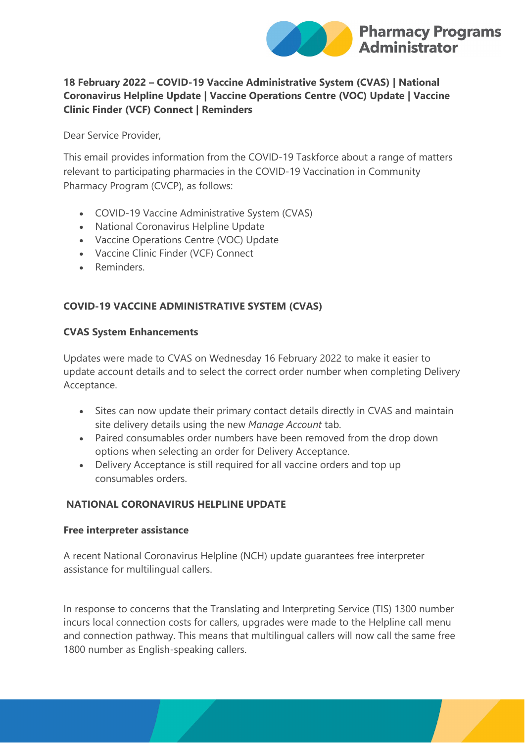

## **18 February 2022 – COVID-19 Vaccine Administrative System (CVAS) | National Coronavirus Helpline Update | Vaccine Operations Centre (VOC) Update | Vaccine Clinic Finder (VCF) Connect | Reminders**

Dear Service Provider,

This email provides information from the COVID-19 Taskforce about a range of matters relevant to participating pharmacies in the COVID-19 Vaccination in Community Pharmacy Program (CVCP), as follows:

- COVID-19 Vaccine Administrative System (CVAS)
- National Coronavirus Helpline Update
- Vaccine Operations Centre (VOC) Update
- Vaccine Clinic Finder (VCF) Connect
- Reminders.

## **COVID-19 VACCINE ADMINISTRATIVE SYSTEM (CVAS)**

#### **CVAS System Enhancements**

Updates were made to CVAS on Wednesday 16 February 2022 to make it easier to update account details and to select the correct order number when completing Delivery Acceptance.

- Sites can now update their primary contact details directly in CVAS and maintain site delivery details using the new *Manage Account* tab.
- Paired consumables order numbers have been removed from the drop down options when selecting an order for Delivery Acceptance.
- Delivery Acceptance is still required for all vaccine orders and top up consumables orders.

#### **NATIONAL CORONAVIRUS HELPLINE UPDATE**

#### **Free interpreter assistance**

A recent National Coronavirus Helpline (NCH) update guarantees free interpreter assistance for multilingual callers.

In response to concerns that the Translating and Interpreting Service (TIS) 1300 number incurs local connection costs for callers, upgrades were made to the Helpline call menu and connection pathway. This means that multilingual callers will now call the same free 1800 number as English-speaking callers.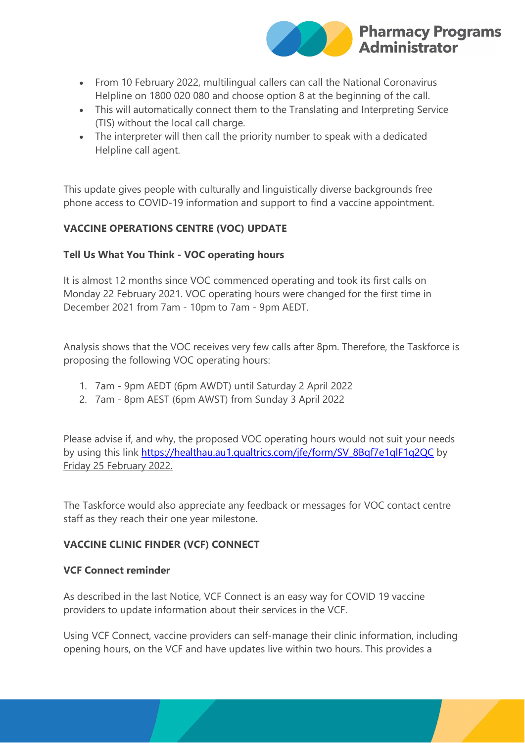

- From 10 February 2022, multilingual callers can call the National Coronavirus Helpline on 1800 020 080 and choose option 8 at the beginning of the call.
- This will automatically connect them to the Translating and Interpreting Service (TIS) without the local call charge.
- The interpreter will then call the priority number to speak with a dedicated Helpline call agent.

This update gives people with culturally and linguistically diverse backgrounds free phone access to COVID-19 information and support to find a vaccine appointment.

# **VACCINE OPERATIONS CENTRE (VOC) UPDATE**

## **Tell Us What You Think - VOC operating hours**

It is almost 12 months since VOC commenced operating and took its first calls on Monday 22 February 2021. VOC operating hours were changed for the first time in December 2021 from 7am - 10pm to 7am - 9pm AEDT.

Analysis shows that the VOC receives very few calls after 8pm. Therefore, the Taskforce is proposing the following VOC operating hours:

- 1. 7am 9pm AEDT (6pm AWDT) until Saturday 2 April 2022
- 2. 7am 8pm AEST (6pm AWST) from Sunday 3 April 2022

Please advise if, and why, the proposed VOC operating hours would not suit your needs by using this link [https://healthau.au1.qualtrics.com/jfe/form/SV\\_8Bqf7e1qlF1q2QC](https://protect-au.mimecast.com/s/K4KxCD1vj8ujWylt58zUz?domain=healthau.au1.qualtrics.com) by Friday 25 February 2022.

The Taskforce would also appreciate any feedback or messages for VOC contact centre staff as they reach their one year milestone.

## **VACCINE CLINIC FINDER (VCF) CONNECT**

## **VCF Connect reminder**

As described in the last Notice, VCF Connect is an easy way for COVID 19 vaccine providers to update information about their services in the VCF.

Using VCF Connect, vaccine providers can self-manage their clinic information, including opening hours, on the VCF and have updates live within two hours. This provides a